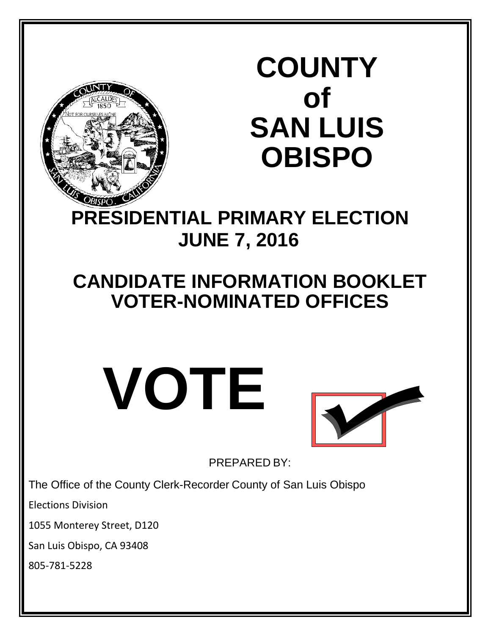

# **COUNTY of SAN LUIS OBISPO**

# **PRESIDENTIAL PRIMARY ELECTION JUNE 7, 2016**

# **CANDIDATE INFORMATION BOOKLET VOTER-NOMINATED OFFICES**





PREPARED BY:

The Office of the County Clerk-Recorder County of San Luis Obispo

Elections Division

1055 Monterey Street, D120

San Luis Obispo, CA 93408

805-781-5228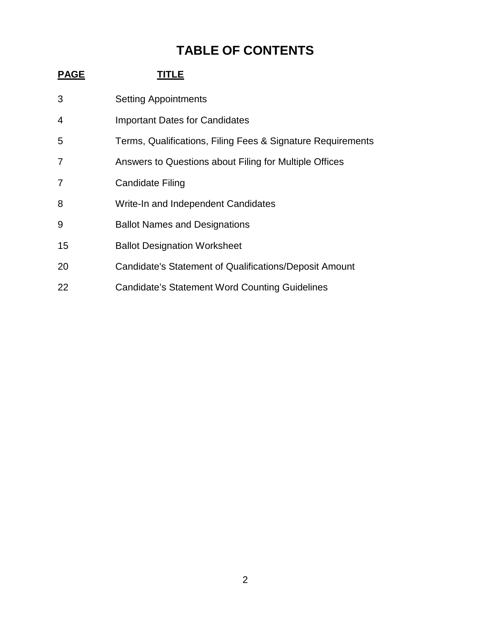# **TABLE OF CONTENTS**

| <u>PAGE</u> | TITLE                                                       |
|-------------|-------------------------------------------------------------|
| 3           | <b>Setting Appointments</b>                                 |
| 4           | <b>Important Dates for Candidates</b>                       |
| 5           | Terms, Qualifications, Filing Fees & Signature Requirements |
| 7           | Answers to Questions about Filing for Multiple Offices      |
| 7           | Candidate Filing                                            |
| 8           | Write-In and Independent Candidates                         |
| 9           | <b>Ballot Names and Designations</b>                        |
| 15          | <b>Ballot Designation Worksheet</b>                         |
| 20          | Candidate's Statement of Qualifications/Deposit Amount      |
| 22          | Candidate's Statement Word Counting Guidelines              |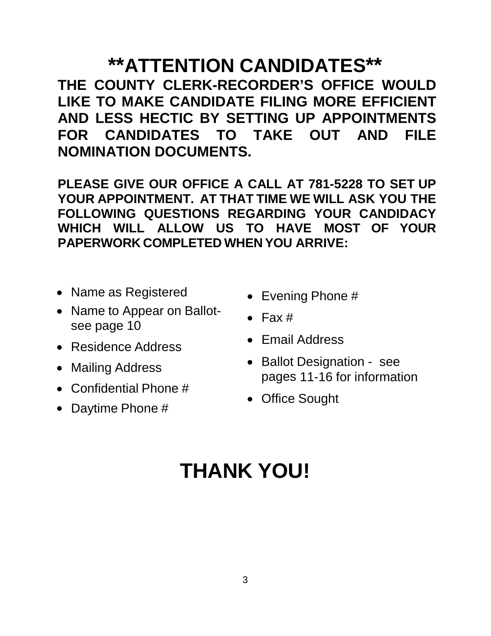# **\*\*ATTENTION CANDIDATES\*\***

**THE COUNTY CLERK-RECORDER'S OFFICE WOULD LIKE TO MAKE CANDIDATE FILING MORE EFFICIENT AND LESS HECTIC BY SETTING UP APPOINTMENTS FOR CANDIDATES TO TAKE OUT AND FILE NOMINATION DOCUMENTS.**

**PLEASE GIVE OUR OFFICE A CALL AT 781-5228 TO SET UP YOUR APPOINTMENT. AT THAT TIME WE WILL ASK YOU THE FOLLOWING QUESTIONS REGARDING YOUR CANDIDACY WHICH WILL ALLOW US TO HAVE MOST OF YOUR PAPERWORK COMPLETED WHEN YOU ARRIVE:**

- Name as Registered
- Name to Appear on Ballotsee page 10
- Residence Address
- Mailing Address
- Confidential Phone #
- Daytime Phone #
- Evening Phone #
- $\bullet$  Fax #
- Email Address
- Ballot Designation see pages 11-16 for information
- Office Sought

# **THANK YOU!**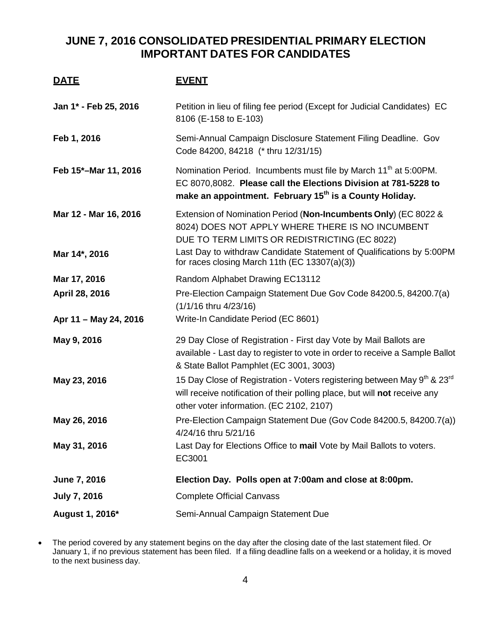## **JUNE 7, 2016 CONSOLIDATED PRESIDENTIAL PRIMARY ELECTION IMPORTANT DATES FOR CANDIDATES**

| <u>DATE</u>                            | <b>EVENT</b>                                                                                                                                                                                                                                 |
|----------------------------------------|----------------------------------------------------------------------------------------------------------------------------------------------------------------------------------------------------------------------------------------------|
| Jan 1* - Feb 25, 2016                  | Petition in lieu of filing fee period (Except for Judicial Candidates) EC<br>8106 (E-158 to E-103)                                                                                                                                           |
| Feb 1, 2016                            | Semi-Annual Campaign Disclosure Statement Filing Deadline. Gov<br>Code 84200, 84218 (* thru 12/31/15)                                                                                                                                        |
| Feb 15*-Mar 11, 2016                   | Nomination Period. Incumbents must file by March 11 <sup>th</sup> at 5:00PM.<br>EC 8070,8082. Please call the Elections Division at 781-5228 to<br>make an appointment. February 15 <sup>th</sup> is a County Holiday.                       |
| Mar 12 - Mar 16, 2016<br>Mar 14*, 2016 | Extension of Nomination Period (Non-Incumbents Only) (EC 8022 &<br>8024) DOES NOT APPLY WHERE THERE IS NO INCUMBENT<br>DUE TO TERM LIMITS OR REDISTRICTING (EC 8022)<br>Last Day to withdraw Candidate Statement of Qualifications by 5:00PM |
|                                        | for races closing March 11th (EC $13307(a)(3)$ )                                                                                                                                                                                             |
| Mar 17, 2016<br>April 28, 2016         | Random Alphabet Drawing EC13112<br>Pre-Election Campaign Statement Due Gov Code 84200.5, 84200.7(a)<br>(1/1/16 thru 4/23/16)                                                                                                                 |
| Apr 11 - May 24, 2016                  | Write-In Candidate Period (EC 8601)                                                                                                                                                                                                          |
| May 9, 2016                            | 29 Day Close of Registration - First day Vote by Mail Ballots are<br>available - Last day to register to vote in order to receive a Sample Ballot<br>& State Ballot Pamphlet (EC 3001, 3003)                                                 |
| May 23, 2016                           | 15 Day Close of Registration - Voters registering between May 9 <sup>th</sup> & 23 <sup>rd</sup><br>will receive notification of their polling place, but will not receive any<br>other voter information. (EC 2102, 2107)                   |
| May 26, 2016                           | Pre-Election Campaign Statement Due (Gov Code 84200.5, 84200.7(a))<br>4/24/16 thru 5/21/16                                                                                                                                                   |
| May 31, 2016                           | Last Day for Elections Office to mail Vote by Mail Ballots to voters.<br>EC3001                                                                                                                                                              |
| <b>June 7, 2016</b>                    | Election Day. Polls open at 7:00am and close at 8:00pm.                                                                                                                                                                                      |
| <b>July 7, 2016</b>                    | <b>Complete Official Canvass</b>                                                                                                                                                                                                             |
| August 1, 2016*                        | Semi-Annual Campaign Statement Due                                                                                                                                                                                                           |

<sup>•</sup> The period covered by any statement begins on the day after the closing date of the last statement filed. Or January 1, if no previous statement has been filed. If a filing deadline falls on a weekend or a holiday, it is moved to the next business day.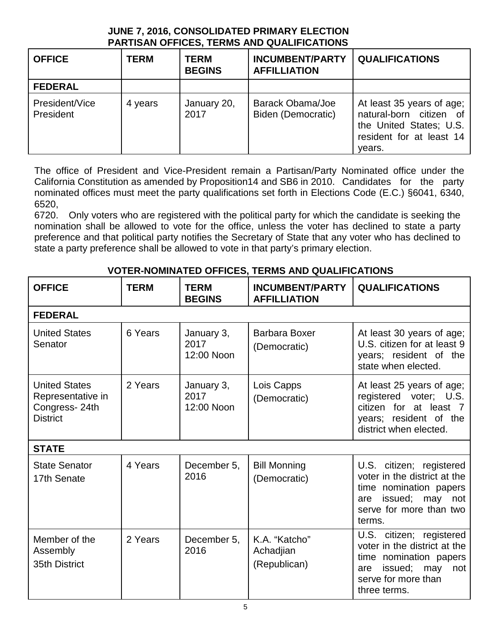## **JUNE 7, 2016, CONSOLIDATED PRIMARY ELECTION PARTISAN OFFICES, TERMS AND QUALIFICATIONS**

| <b>OFFICE</b>               | <b>TERM</b> | <b>TERM</b><br><b>BEGINS</b> | <b>INCUMBENT/PARTY</b><br><b>AFFILLIATION</b> | <b>QUALIFICATIONS</b>                                                                                                 |
|-----------------------------|-------------|------------------------------|-----------------------------------------------|-----------------------------------------------------------------------------------------------------------------------|
| <b>FEDERAL</b>              |             |                              |                                               |                                                                                                                       |
| President/Vice<br>President | 4 years     | January 20,<br>2017          | Barack Obama/Joe<br>Biden (Democratic)        | At least 35 years of age;<br>natural-born citizen of<br>the United States; U.S.<br>resident for at least 14<br>vears. |

The office of President and Vice-President remain a Partisan/Party Nominated office under the California Constitution as amended by Proposition14 and SB6 in 2010. Candidates for the party nominated offices must meet the party qualifications set forth in Elections Code (E.C.) §6041, 6340, 6520,

6720. Only voters who are registered with the political party for which the candidate is seeking the nomination shall be allowed to vote for the office, unless the voter has declined to state a party preference and that political party notifies the Secretary of State that any voter who has declined to state a party preference shall be allowed to vote in that party's primary election.

| <b>OFFICE</b>                                                                 | <b>TERM</b> | <b>TERM</b><br><b>BEGINS</b>     | <b>INCUMBENT/PARTY</b><br><b>AFFILLIATION</b> | <b>QUALIFICATIONS</b>                                                                                                                                  |
|-------------------------------------------------------------------------------|-------------|----------------------------------|-----------------------------------------------|--------------------------------------------------------------------------------------------------------------------------------------------------------|
| <b>FEDERAL</b>                                                                |             |                                  |                                               |                                                                                                                                                        |
| <b>United States</b><br>Senator                                               | 6 Years     | January 3,<br>2017<br>12:00 Noon | <b>Barbara Boxer</b><br>(Democratic)          | At least 30 years of age;<br>U.S. citizen for at least 9<br>years; resident of the<br>state when elected.                                              |
| <b>United States</b><br>Representative in<br>Congress-24th<br><b>District</b> | 2 Years     | January 3,<br>2017<br>12:00 Noon | Lois Capps<br>(Democratic)                    | At least 25 years of age;<br>registered voter; U.S.<br>citizen for at least 7<br>years; resident of the<br>district when elected.                      |
| <b>STATE</b>                                                                  |             |                                  |                                               |                                                                                                                                                        |
| <b>State Senator</b><br>17th Senate                                           | 4 Years     | December 5,<br>2016              | <b>Bill Monning</b><br>(Democratic)           | U.S. citizen; registered<br>voter in the district at the<br>time nomination papers<br>issued; may<br>not<br>are<br>serve for more than two<br>terms.   |
| Member of the<br>Assembly<br>35th District                                    | 2 Years     | December 5,<br>2016              | K.A. "Katcho"<br>Achadjian<br>(Republican)    | U.S. citizen; registered<br>voter in the district at the<br>time nomination papers<br>issued; may<br>not<br>are<br>serve for more than<br>three terms. |

## **VOTER-NOMINATED OFFICES, TERMS AND QUALIFICATIONS**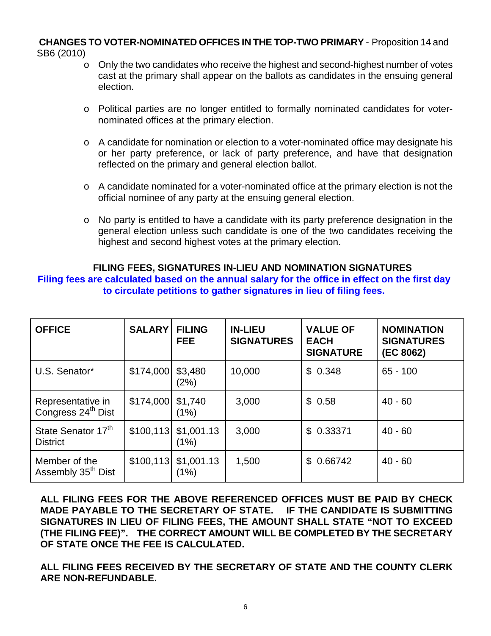### **CHANGES TO VOTER-NOMINATED OFFICES IN THE TOP-TWO PRIMARY** - Proposition 14 and SB6 (2010)

- $\circ$  Only the two candidates who receive the highest and second-highest number of votes cast at the primary shall appear on the ballots as candidates in the ensuing general election.
- o Political parties are no longer entitled to formally nominated candidates for voternominated offices at the primary election.
- o A candidate for nomination or election to a voter-nominated office may designate his or her party preference, or lack of party preference, and have that designation reflected on the primary and general election ballot.
- $\circ$  A candidate nominated for a voter-nominated office at the primary election is not the official nominee of any party at the ensuing general election.
- o No party is entitled to have a candidate with its party preference designation in the general election unless such candidate is one of the two candidates receiving the highest and second highest votes at the primary election.

## **FILING FEES, SIGNATURES IN-LIEU AND NOMINATION SIGNATURES Filing fees are calculated based on the annual salary for the office in effect on the first day to circulate petitions to gather signatures in lieu of filing fees.**

| <b>OFFICE</b>                                       | <b>SALARY</b> | <b>FILING</b><br><b>FEE</b> | <b>IN-LIEU</b><br><b>SIGNATURES</b> | <b>VALUE OF</b><br><b>EACH</b><br><b>SIGNATURE</b> | <b>NOMINATION</b><br><b>SIGNATURES</b><br>(EC 8062) |
|-----------------------------------------------------|---------------|-----------------------------|-------------------------------------|----------------------------------------------------|-----------------------------------------------------|
| U.S. Senator*                                       | \$174,000     | \$3,480<br>(2%)             | 10,000                              | \$0.348                                            | $65 - 100$                                          |
| Representative in<br>Congress 24 <sup>th</sup> Dist | \$174,000     | \$1,740<br>(1%)             | 3,000                               | \$0.58                                             | $40 - 60$                                           |
| State Senator 17th<br><b>District</b>               | \$100,113     | \$1,001.13<br>(1%)          | 3,000                               | 0.33371<br>$\mathbb{S}$                            | $40 - 60$                                           |
| Member of the<br>Assembly 35 <sup>th</sup> Dist     | \$100,113     | \$1,001.13<br>(1%)          | 1,500                               | 0.66742<br>\$                                      | $40 - 60$                                           |

**ALL FILING FEES FOR THE ABOVE REFERENCED OFFICES MUST BE PAID BY CHECK MADE PAYABLE TO THE SECRETARY OF STATE. IF THE CANDIDATE IS SUBMITTING SIGNATURES IN LIEU OF FILING FEES, THE AMOUNT SHALL STATE "NOT TO EXCEED (THE FILING FEE)". THE CORRECT AMOUNT WILL BE COMPLETED BY THE SECRETARY OF STATE ONCE THE FEE IS CALCULATED.**

**ALL FILING FEES RECEIVED BY THE SECRETARY OF STATE AND THE COUNTY CLERK ARE NON-REFUNDABLE.**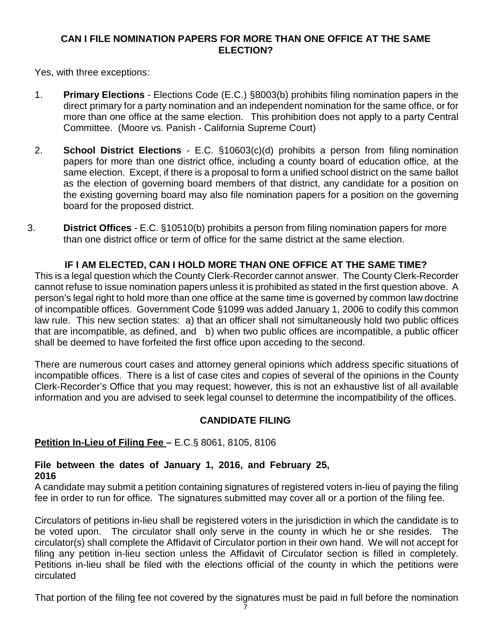## **CAN I FILE NOMINATION PAPERS FOR MORE THAN ONE OFFICE AT THE SAME ELECTION?**

Yes, with three exceptions:

- 1. **Primary Elections** Elections Code (E.C.) §8003(b) prohibits filing nomination papers in the direct primary for a party nomination and an independent nomination for the same office, or for more than one office at the same election. This prohibition does not apply to a party Central Committee. (Moore vs. Panish - California Supreme Court)
- 2. **School District Elections** E.C. §10603(c)(d) prohibits a person from filing nomination papers for more than one district office, including a county board of education office, at the same election. Except, if there is a proposal to form a unified school district on the same ballot as the election of governing board members of that district, any candidate for a position on the existing governing board may also file nomination papers for a position on the governing board for the proposed district.
- 3. **District Offices** E.C. §10510(b) prohibits a person from filing nomination papers for more than one district office or term of office for the same district at the same election.

## **IF I AM ELECTED, CAN I HOLD MORE THAN ONE OFFICE AT THE SAME TIME?**

This is a legal question which the County Clerk-Recorder cannot answer. The County Clerk-Recorder cannot refuse to issue nomination papers unless it is prohibited as stated in the first question above. A person's legal right to hold more than one office at the same time is governed by common law doctrine of incompatible offices. Government Code §1099 was added January 1, 2006 to codify this common law rule. This new section states: a) that an officer shall not simultaneously hold two public offices that are incompatible, as defined, and b) when two public offices are incompatible, a public officer shall be deemed to have forfeited the first office upon acceding to the second.

There are numerous court cases and attorney general opinions which address specific situations of incompatible offices. There is a list of case cites and copies of several of the opinions in the County Clerk-Recorder's Office that you may request; however, this is not an exhaustive list of all available information and you are advised to seek legal counsel to determine the incompatibility of the offices.

## **CANDIDATE FILING**

## **Petition In-Lieu of Filing Fee –** E.C.§ 8061, 8105, 8106

#### **File between the dates of January 1, 2016, and February 25, 2016**

A candidate may submit a petition containing signatures of registered voters in-lieu of paying the filing fee in order to run for office. The signatures submitted may cover all or a portion of the filing fee.

Circulators of petitions in-lieu shall be registered voters in the jurisdiction in which the candidate is to be voted upon. The circulator shall only serve in the county in which he or she resides. The circulator(s) shall complete the Affidavit of Circulator portion in their own hand. We will not accept for filing any petition in-lieu section unless the Affidavit of Circulator section is filled in completely. Petitions in-lieu shall be filed with the elections official of the county in which the petitions were circulated

That portion of the filing fee not covered by the signatures must be paid in full before the nomination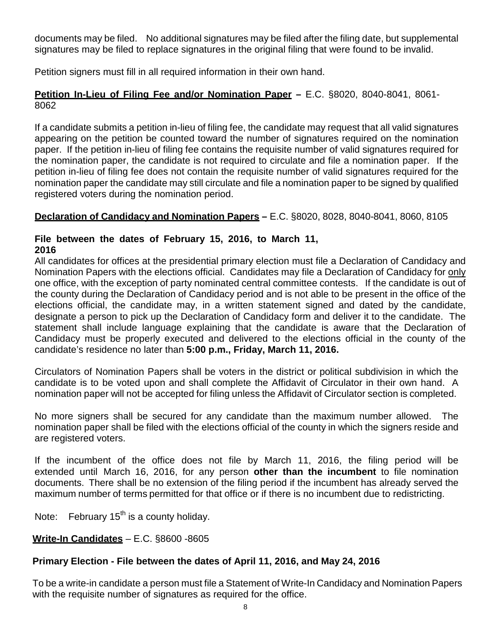documents may be filed. No additional signatures may be filed after the filing date, but supplemental signatures may be filed to replace signatures in the original filing that were found to be invalid.

Petition signers must fill in all required information in their own hand.

## **Petition In-Lieu of Filing Fee and/or Nomination Paper –** E.C. §8020, 8040-8041, 8061- 8062

If a candidate submits a petition in-lieu of filing fee, the candidate may request that all valid signatures appearing on the petition be counted toward the number of signatures required on the nomination paper. If the petition in-lieu of filing fee contains the requisite number of valid signatures required for the nomination paper, the candidate is not required to circulate and file a nomination paper. If the petition in-lieu of filing fee does not contain the requisite number of valid signatures required for the nomination paper the candidate may still circulate and file a nomination paper to be signed by qualified registered voters during the nomination period.

## **Declaration of Candidacy and Nomination Papers –** E.C. §8020, 8028, 8040-8041, 8060, 8105

#### **File between the dates of February 15, 2016, to March 11, 2016**

All candidates for offices at the presidential primary election must file a Declaration of Candidacy and Nomination Papers with the elections official. Candidates may file a Declaration of Candidacy for only one office, with the exception of party nominated central committee contests. If the candidate is out of the county during the Declaration of Candidacy period and is not able to be present in the office of the elections official, the candidate may, in a written statement signed and dated by the candidate, designate a person to pick up the Declaration of Candidacy form and deliver it to the candidate. The statement shall include language explaining that the candidate is aware that the Declaration of Candidacy must be properly executed and delivered to the elections official in the county of the candidate's residence no later than **5:00 p.m., Friday, March 11, 2016.**

Circulators of Nomination Papers shall be voters in the district or political subdivision in which the candidate is to be voted upon and shall complete the Affidavit of Circulator in their own hand. A nomination paper will not be accepted for filing unless the Affidavit of Circulator section is completed.

No more signers shall be secured for any candidate than the maximum number allowed. The nomination paper shall be filed with the elections official of the county in which the signers reside and are registered voters.

If the incumbent of the office does not file by March 11, 2016, the filing period will be extended until March 16, 2016, for any person **other than the incumbent** to file nomination documents. There shall be no extension of the filing period if the incumbent has already served the maximum number of terms permitted for that office or if there is no incumbent due to redistricting.

Note: February  $15<sup>th</sup>$  is a county holiday.

## **Write-In Candidates** – E.C. §8600 -8605

## **Primary Election - File between the dates of April 11, 2016, and May 24, 2016**

To be a write-in candidate a person must file a Statement of Write-In Candidacy and Nomination Papers with the requisite number of signatures as required for the office.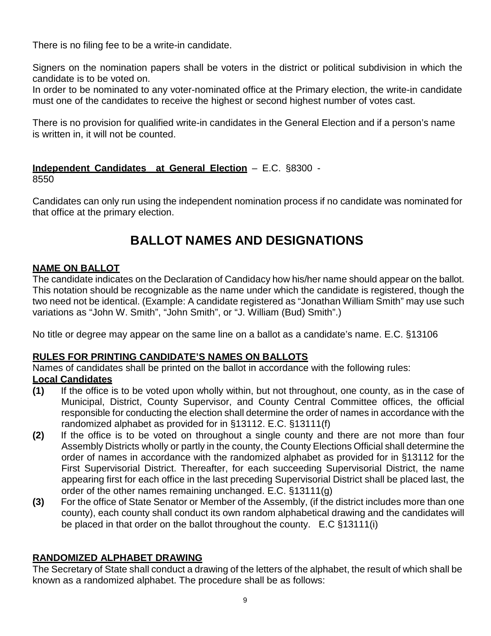There is no filing fee to be a write-in candidate.

Signers on the nomination papers shall be voters in the district or political subdivision in which the candidate is to be voted on.

In order to be nominated to any voter-nominated office at the Primary election, the write-in candidate must one of the candidates to receive the highest or second highest number of votes cast.

There is no provision for qualified write-in candidates in the General Election and if a person's name is written in, it will not be counted.

## **Independent Candidates at General Election** – E.C. §8300 -

8550

Candidates can only run using the independent nomination process if no candidate was nominated for that office at the primary election.

## **BALLOT NAMES AND DESIGNATIONS**

## **NAME ON BALLOT**

The candidate indicates on the Declaration of Candidacy how his/her name should appear on the ballot. This notation should be recognizable as the name under which the candidate is registered, though the two need not be identical. (Example: A candidate registered as "Jonathan William Smith" may use such variations as "John W. Smith", "John Smith", or "J. William (Bud) Smith".)

No title or degree may appear on the same line on a ballot as a candidate's name. E.C. §13106

## **RULES FOR PRINTING CANDIDATE'S NAMES ON BALLOTS**

Names of candidates shall be printed on the ballot in accordance with the following rules:

## **Local Candidates**

- **(1)** If the office is to be voted upon wholly within, but not throughout, one county, as in the case of Municipal, District, County Supervisor, and County Central Committee offices, the official responsible for conducting the election shall determine the order of names in accordance with the randomized alphabet as provided for in §13112. E.C. §13111(f)
- **(2)** If the office is to be voted on throughout a single county and there are not more than four Assembly Districts wholly or partly in the county, the County Elections Official shall determine the order of names in accordance with the randomized alphabet as provided for in §13112 for the First Supervisorial District. Thereafter, for each succeeding Supervisorial District, the name appearing first for each office in the last preceding Supervisorial District shall be placed last, the order of the other names remaining unchanged. E.C. §13111(g)
- **(3)** For the office of State Senator or Member of the Assembly, (if the district includes more than one county), each county shall conduct its own random alphabetical drawing and the candidates will be placed in that order on the ballot throughout the county. E.C §13111(i)

## **RANDOMIZED ALPHABET DRAWING**

The Secretary of State shall conduct a drawing of the letters of the alphabet, the result of which shall be known as a randomized alphabet. The procedure shall be as follows: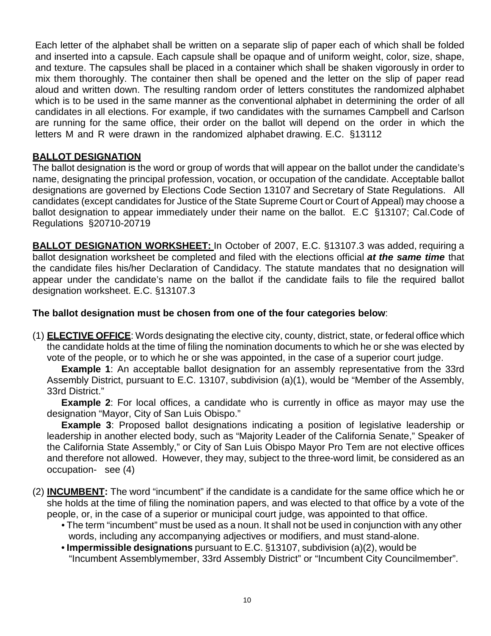Each letter of the alphabet shall be written on a separate slip of paper each of which shall be folded and inserted into a capsule. Each capsule shall be opaque and of uniform weight, color, size, shape, and texture. The capsules shall be placed in a container which shall be shaken vigorously in order to mix them thoroughly. The container then shall be opened and the letter on the slip of paper read aloud and written down. The resulting random order of letters constitutes the randomized alphabet which is to be used in the same manner as the conventional alphabet in determining the order of all candidates in all elections. For example, if two candidates with the surnames Campbell and Carlson are running for the same office, their order on the ballot will depend on the order in which the letters M and R were drawn in the randomized alphabet drawing. E.C. §13112

## **BALLOT DESIGNATION**

The ballot designation is the word or group of words that will appear on the ballot under the candidate's name, designating the principal profession, vocation, or occupation of the candidate. Acceptable ballot designations are governed by Elections Code Section 13107 and Secretary of State Regulations. All candidates (except candidates for Justice of the State Supreme Court or Court of Appeal) may choose a ballot designation to appear immediately under their name on the ballot. E.C §13107; Cal.Code of Regulations §20710-20719

**BALLOT DESIGNATION WORKSHEET:** In October of 2007, E.C. §13107.3 was added, requiring a ballot designation worksheet be completed and filed with the elections official *at the same time* that the candidate files his/her Declaration of Candidacy. The statute mandates that no designation will appear under the candidate's name on the ballot if the candidate fails to file the required ballot designation worksheet. E.C. §13107.3

## **The ballot designation must be chosen from one of the four categories below**:

(1) **ELECTIVE OFFICE**: Words designating the elective city, county, district, state, or federal office which the candidate holds at the time of filing the nomination documents to which he or she was elected by vote of the people, or to which he or she was appointed, in the case of a superior court judge.

**Example 1**: An acceptable ballot designation for an assembly representative from the 33rd Assembly District, pursuant to E.C. 13107, subdivision (a)(1), would be "Member of the Assembly, 33rd District."

**Example 2**: For local offices, a candidate who is currently in office as mayor may use the designation "Mayor, City of San Luis Obispo."

**Example 3**: Proposed ballot designations indicating a position of legislative leadership or leadership in another elected body, such as "Majority Leader of the California Senate," Speaker of the California State Assembly," or City of San Luis Obispo Mayor Pro Tem are not elective offices and therefore not allowed. However, they may, subject to the three-word limit, be considered as an occupation- see (4)

- (2) **INCUMBENT:** The word "incumbent" if the candidate is a candidate for the same office which he or she holds at the time of filing the nomination papers, and was elected to that office by a vote of the people, or, in the case of a superior or municipal court judge, was appointed to that office.
	- The term "incumbent" must be used as a noun. It shall not be used in conjunction with any other words, including any accompanying adjectives or modifiers, and must stand-alone.
	- **Impermissible designations** pursuant to E.C. §13107, subdivision (a)(2), would be "Incumbent Assemblymember, 33rd Assembly District" or "Incumbent City Councilmember".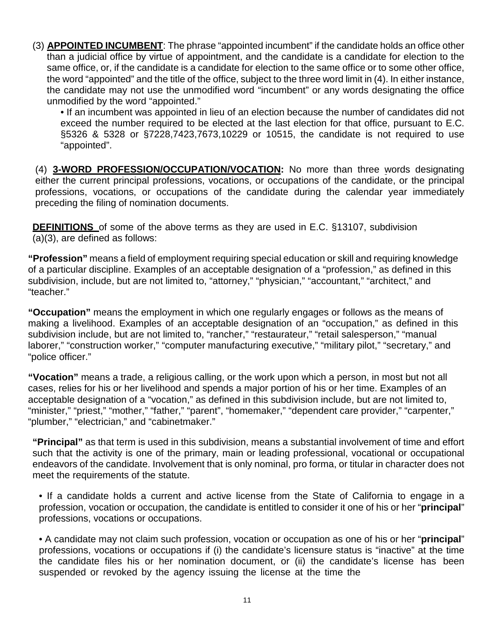(3) **APPOINTED INCUMBENT**: The phrase "appointed incumbent" if the candidate holds an office other than a judicial office by virtue of appointment, and the candidate is a candidate for election to the same office, or, if the candidate is a candidate for election to the same office or to some other office, the word "appointed" and the title of the office, subject to the three word limit in (4). In either instance, the candidate may not use the unmodified word "incumbent" or any words designating the office unmodified by the word "appointed."

• If an incumbent was appointed in lieu of an election because the number of candidates did not exceed the number required to be elected at the last election for that office, pursuant to E.C. §5326 & 5328 or §7228,7423,7673,10229 or 10515, the candidate is not required to use "appointed".

(4) **3-WORD PROFESSION/OCCUPATION/VOCATION:** No more than three words designating either the current principal professions, vocations, or occupations of the candidate, or the principal professions, vocations, or occupations of the candidate during the calendar year immediately preceding the filing of nomination documents.

**DEFINITIONS** of some of the above terms as they are used in E.C. §13107, subdivision (a)(3), are defined as follows:

**"Profession"** means a field of employment requiring special education or skill and requiring knowledge of a particular discipline. Examples of an acceptable designation of a "profession," as defined in this subdivision, include, but are not limited to, "attorney," "physician," "accountant," "architect," and "teacher."

**"Occupation"** means the employment in which one regularly engages or follows as the means of making a livelihood. Examples of an acceptable designation of an "occupation," as defined in this subdivision include, but are not limited to, "rancher," "restaurateur," "retail salesperson," "manual laborer," "construction worker," "computer manufacturing executive," "military pilot," "secretary," and "police officer."

**"Vocation"** means a trade, a religious calling, or the work upon which a person, in most but not all cases, relies for his or her livelihood and spends a major portion of his or her time. Examples of an acceptable designation of a "vocation," as defined in this subdivision include, but are not limited to, "minister," "priest," "mother," "father," "parent", "homemaker," "dependent care provider," "carpenter," "plumber," "electrician," and "cabinetmaker."

**"Principal"** as that term is used in this subdivision, means a substantial involvement of time and effort such that the activity is one of the primary, main or leading professional, vocational or occupational endeavors of the candidate. Involvement that is only nominal, pro forma, or titular in character does not meet the requirements of the statute.

• If a candidate holds a current and active license from the State of California to engage in a profession, vocation or occupation, the candidate is entitled to consider it one of his or her "**principal**" professions, vocations or occupations.

• A candidate may not claim such profession, vocation or occupation as one of his or her "**principal**" professions, vocations or occupations if (i) the candidate's licensure status is "inactive" at the time the candidate files his or her nomination document, or (ii) the candidate's license has been suspended or revoked by the agency issuing the license at the time the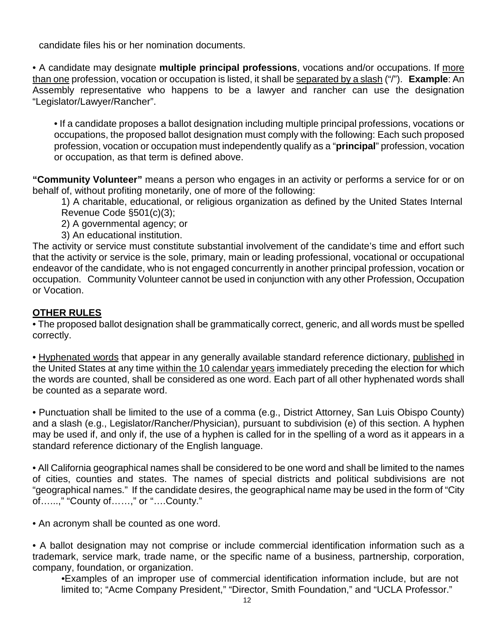candidate files his or her nomination documents.

• A candidate may designate **multiple principal professions**, vocations and/or occupations. If more than one profession, vocation or occupation is listed, it shall be separated by a slash ("/"). **Example**: An Assembly representative who happens to be a lawyer and rancher can use the designation "Legislator/Lawyer/Rancher".

• If a candidate proposes a ballot designation including multiple principal professions, vocations or occupations, the proposed ballot designation must comply with the following: Each such proposed profession, vocation or occupation must independently qualify as a "**principal**" profession, vocation or occupation, as that term is defined above.

**"Community Volunteer"** means a person who engages in an activity or performs a service for or on behalf of, without profiting monetarily, one of more of the following:

1) A charitable, educational, or religious organization as defined by the United States Internal Revenue Code §501(c)(3);

2) A governmental agency; or

3) An educational institution.

The activity or service must constitute substantial involvement of the candidate's time and effort such that the activity or service is the sole, primary, main or leading professional, vocational or occupational endeavor of the candidate, who is not engaged concurrently in another principal profession, vocation or occupation. Community Volunteer cannot be used in conjunction with any other Profession, Occupation or Vocation.

## **OTHER RULES**

• The proposed ballot designation shall be grammatically correct, generic, and all words must be spelled correctly.

• Hyphenated words that appear in any generally available standard reference dictionary, published in the United States at any time within the 10 calendar years immediately preceding the election for which the words are counted, shall be considered as one word. Each part of all other hyphenated words shall be counted as a separate word.

• Punctuation shall be limited to the use of a comma (e.g., District Attorney, San Luis Obispo County) and a slash (e.g., Legislator/Rancher/Physician), pursuant to subdivision (e) of this section. A hyphen may be used if, and only if, the use of a hyphen is called for in the spelling of a word as it appears in a standard reference dictionary of the English language.

• All California geographical names shall be considered to be one word and shall be limited to the names of cities, counties and states. The names of special districts and political subdivisions are not "geographical names." If the candidate desires, the geographical name may be used in the form of "City of…...," "County of……," or "….County."

• An acronym shall be counted as one word.

• A ballot designation may not comprise or include commercial identification information such as a trademark, service mark, trade name, or the specific name of a business, partnership, corporation, company, foundation, or organization.

•Examples of an improper use of commercial identification information include, but are not limited to; "Acme Company President," "Director, Smith Foundation," and "UCLA Professor."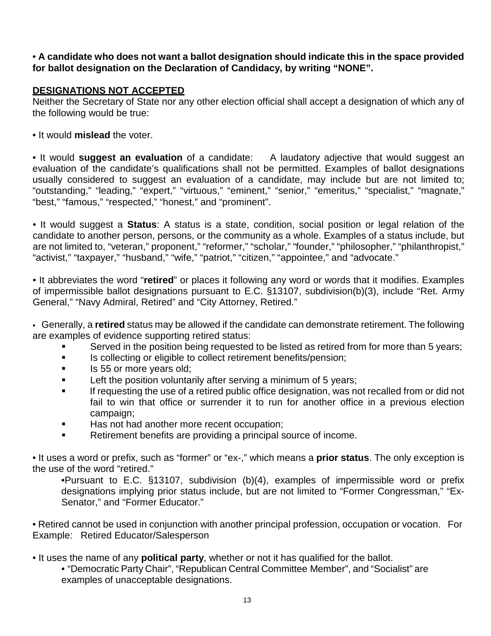## • **A candidate who does not want a ballot designation should indicate this in the space provided for ballot designation on the Declaration of Candidacy, by writing "NONE".**

## **DESIGNATIONS NOT ACCEPTED**

Neither the Secretary of State nor any other election official shall accept a designation of which any of the following would be true:

• It would **mislead** the voter.

• It would **suggest an evaluation** of a candidate: A laudatory adjective that would suggest an evaluation of the candidate's qualifications shall not be permitted. Examples of ballot designations usually considered to suggest an evaluation of a candidate, may include but are not limited to; "outstanding," "leading," "expert," "virtuous," "eminent," "senior," "emeritus," "specialist," "magnate," "best," "famous," "respected," "honest," and "prominent".

• It would suggest a **Status**: A status is a state, condition, social position or legal relation of the candidate to another person, persons, or the community as a whole. Examples of a status include, but are not limited to, "veteran," proponent," "reformer," "scholar," "founder," "philosopher," "philanthropist," "activist," "taxpayer," "husband," "wife," "patriot," "citizen," "appointee," and "advocate."

• It abbreviates the word "**retired**" or places it following any word or words that it modifies. Examples of impermissible ballot designations pursuant to E.C. §13107, subdivision(b)(3), include "Ret. Army General," "Navy Admiral, Retired" and "City Attorney, Retired."

 Generally, a **retired** status may be allowed if the candidate can demonstrate retirement. The following are examples of evidence supporting retired status:

- Served in the position being requested to be listed as retired from for more than 5 years;
- **IS collecting or eligible to collect retirement benefits/pension;**
- **IS 55 or more years old;**
- **EXECT:** Left the position voluntarily after serving a minimum of 5 years;
- If requesting the use of a retired public office designation, was not recalled from or did not fail to win that office or surrender it to run for another office in a previous election campaign;
- Has not had another more recent occupation;
- Retirement benefits are providing a principal source of income.

• It uses a word or prefix, such as "former" or "ex-," which means a **prior status**. The only exception is the use of the word "retired."

•Pursuant to E.C. §13107, subdivision (b)(4), examples of impermissible word or prefix designations implying prior status include, but are not limited to "Former Congressman," "Ex-Senator," and "Former Educator."

• Retired cannot be used in conjunction with another principal profession, occupation or vocation. For Example: Retired Educator/Salesperson

- It uses the name of any **political party**, whether or not it has qualified for the ballot.
	- "Democratic Party Chair", "Republican Central Committee Member", and "Socialist" are examples of unacceptable designations.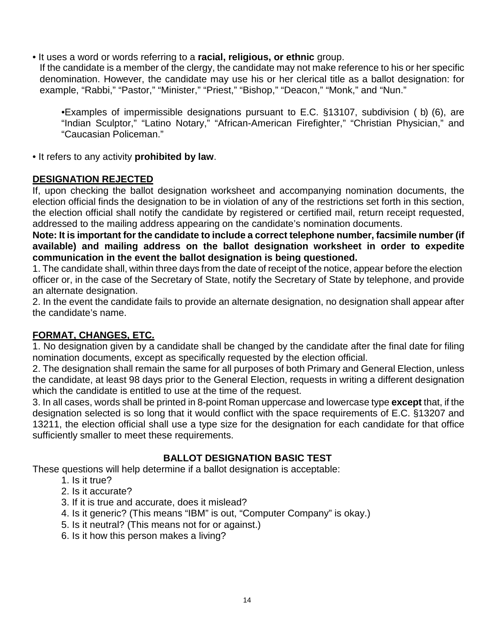• It uses a word or words referring to a **racial, religious, or ethnic** group.

If the candidate is a member of the clergy, the candidate may not make reference to his or her specific denomination. However, the candidate may use his or her clerical title as a ballot designation: for example, "Rabbi," "Pastor," "Minister," "Priest," "Bishop," "Deacon," "Monk," and "Nun."

•Examples of impermissible designations pursuant to E.C. §13107, subdivision ( b) (6), are "Indian Sculptor," "Latino Notary," "African-American Firefighter," "Christian Physician," and "Caucasian Policeman."

• It refers to any activity **prohibited by law**.

## **DESIGNATION REJECTED**

If, upon checking the ballot designation worksheet and accompanying nomination documents, the election official finds the designation to be in violation of any of the restrictions set forth in this section, the election official shall notify the candidate by registered or certified mail, return receipt requested, addressed to the mailing address appearing on the candidate's nomination documents.

**Note: It is important for the candidate to include a correct telephone number, facsimile number (if available) and mailing address on the ballot designation worksheet in order to expedite communication in the event the ballot designation is being questioned.**

1. The candidate shall, within three days from the date of receipt of the notice, appear before the election officer or, in the case of the Secretary of State, notify the Secretary of State by telephone, and provide an alternate designation.

2. In the event the candidate fails to provide an alternate designation, no designation shall appear after the candidate's name.

## **FORMAT, CHANGES, ETC.**

1. No designation given by a candidate shall be changed by the candidate after the final date for filing nomination documents, except as specifically requested by the election official.

2. The designation shall remain the same for all purposes of both Primary and General Election, unless the candidate, at least 98 days prior to the General Election, requests in writing a different designation which the candidate is entitled to use at the time of the request.

3. In all cases, words shall be printed in 8-point Roman uppercase and lowercase type **except** that, if the designation selected is so long that it would conflict with the space requirements of E.C. §13207 and 13211, the election official shall use a type size for the designation for each candidate for that office sufficiently smaller to meet these requirements.

## **BALLOT DESIGNATION BASIC TEST**

These questions will help determine if a ballot designation is acceptable:

- 1. Is it true?
- 2. Is it accurate?
- 3. If it is true and accurate, does it mislead?
- 4. Is it generic? (This means "IBM" is out, "Computer Company" is okay.)
- 5. Is it neutral? (This means not for or against.)
- 6. Is it how this person makes a living?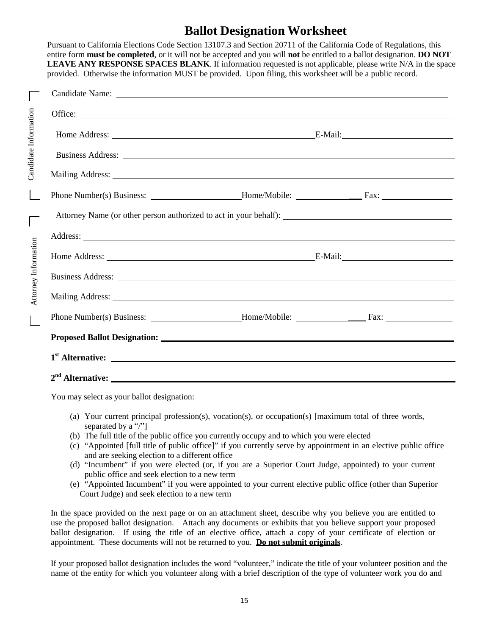## **Ballot Designation Worksheet**

Pursuant to California Elections Code Section 13107.3 and Section 20711 of the California Code of Regulations, this entire form **must be completed**, or it will not be accepted and you will **not** be entitled to a ballot designation. **DO NOT LEAVE ANY RESPONSE SPACES BLANK**. If information requested is not applicable, please write N/A in the space provided. Otherwise the information MUST be provided. Upon filing, this worksheet will be a public record.

| Candidate Name: <u>and the contract of the contract of the contract of the contract of the contract of the contract of the contract of the contract of the contract of the contract of the contract of the contract of the contr</u> |  |  |
|--------------------------------------------------------------------------------------------------------------------------------------------------------------------------------------------------------------------------------------|--|--|
|                                                                                                                                                                                                                                      |  |  |
|                                                                                                                                                                                                                                      |  |  |
|                                                                                                                                                                                                                                      |  |  |
|                                                                                                                                                                                                                                      |  |  |
|                                                                                                                                                                                                                                      |  |  |
|                                                                                                                                                                                                                                      |  |  |
|                                                                                                                                                                                                                                      |  |  |
|                                                                                                                                                                                                                                      |  |  |
|                                                                                                                                                                                                                                      |  |  |
|                                                                                                                                                                                                                                      |  |  |
|                                                                                                                                                                                                                                      |  |  |
| Proposed Ballot Designation: Law Communication Communication Communication Communication Communication Communication                                                                                                                 |  |  |
|                                                                                                                                                                                                                                      |  |  |
|                                                                                                                                                                                                                                      |  |  |

You may select as your ballot designation:

Attorney Information Candidate Informatio

Attorney Information 7

e

- (a) Your current principal profession(s), vocation(s), or occupation(s) [maximum total of three words, separated by a "/"]
- (b) The full title of the public office you currently occupy and to which you were elected
- (c) "Appointed [full title of public office]" if you currently serve by appointment in an elective public office and are seeking election to a different office
- (d) "Incumbent" if you were elected (or, if you are a Superior Court Judge, appointed) to your current public office and seek election to a new term
- (e) "Appointed Incumbent" if you were appointed to your current elective public office (other than Superior Court Judge) and seek election to a new term

In the space provided on the next page or on an attachment sheet, describe why you believe you are entitled to use the proposed ballot designation. Attach any documents or exhibits that you believe support your proposed ballot designation. If using the title of an elective office, attach a copy of your certificate of election or appointment. These documents will not be returned to you. **Do not submit originals**.

If your proposed ballot designation includes the word "volunteer," indicate the title of your volunteer position and the name of the entity for which you volunteer along with a brief description of the type of volunteer work you do and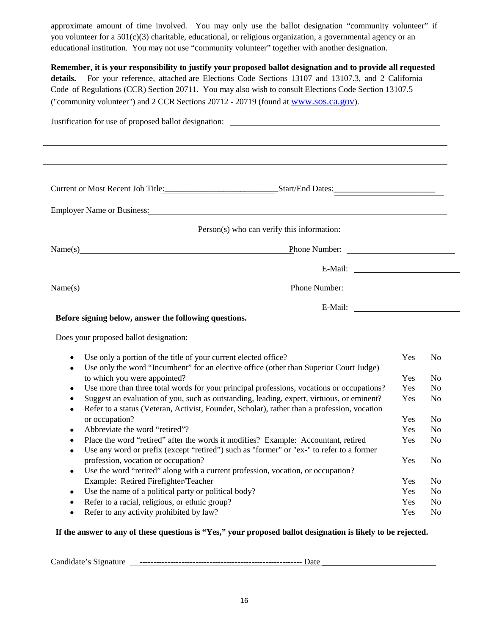approximate amount of time involved. You may only use the ballot designation "community volunteer" if you volunteer for a 501(c)(3) charitable, educational, or religious organization, a governmental agency or an educational institution. You may not use "community volunteer" together with another designation.

**Remember, it is your responsibility to justify your proposed ballot designation and to provide all requested details.** For your reference, attached are Elections Code Sections 13107 and 13107.3, and 2 California Code of Regulations (CCR) Section 20711. You may also wish to consult Elections Code Section 13107.5 ("community volunteer") and 2 CCR Sections 20712 - 20719 (found at [www.sos.ca.gov\)](http://www.sos.ca.gov/).

| Current or Most Recent Job Title: Start/End Dates:<br>Employer Name or Business: Manual Communication of the Business of The Communication of the Communication of the Communication of the Communication of the Communication of the Communication of the Communication of the Comm<br>Person(s) who can verify this information:<br>Before signing below, answer the following questions.<br>Does your proposed ballot designation:<br>Use only a portion of the title of your current elected office?<br>Yes<br>N <sub>0</sub><br>Use only the word "Incumbent" for an elective office (other than Superior Court Judge)<br>$\bullet$<br>to which you were appointed?<br>Yes<br>N <sub>o</sub><br>Use more than three total words for your principal professions, vocations or occupations?<br>Yes<br>N <sub>o</sub><br>$\bullet$<br>Suggest an evaluation of you, such as outstanding, leading, expert, virtuous, or eminent?<br>Yes<br>N <sub>0</sub><br>$\bullet$<br>Refer to a status (Veteran, Activist, Founder, Scholar), rather than a profession, vocation<br>$\bullet$<br>or occupation?<br>Yes<br>N <sub>0</sub><br>Abbreviate the word "retired"?<br>Yes<br>N <sub>o</sub><br>$\bullet$<br>Place the word "retired" after the words it modifies? Example: Accountant, retired<br>N <sub>o</sub><br>Yes<br>$\bullet$<br>Use any word or prefix (except "retired") such as "former" or "ex-" to refer to a former<br>$\bullet$<br>profession, vocation or occupation?<br>Yes<br>N <sub>0</sub><br>Use the word "retired" along with a current profession, vocation, or occupation?<br>$\bullet$<br>Example: Retired Firefighter/Teacher<br>Yes<br>N <sub>0</sub><br>Use the name of a political party or political body?<br>Yes<br>N <sub>0</sub><br>$\bullet$ | Justification for use of proposed ballot designation: ___________________________ |  |
|-----------------------------------------------------------------------------------------------------------------------------------------------------------------------------------------------------------------------------------------------------------------------------------------------------------------------------------------------------------------------------------------------------------------------------------------------------------------------------------------------------------------------------------------------------------------------------------------------------------------------------------------------------------------------------------------------------------------------------------------------------------------------------------------------------------------------------------------------------------------------------------------------------------------------------------------------------------------------------------------------------------------------------------------------------------------------------------------------------------------------------------------------------------------------------------------------------------------------------------------------------------------------------------------------------------------------------------------------------------------------------------------------------------------------------------------------------------------------------------------------------------------------------------------------------------------------------------------------------------------------------------------------------------------------------------------------------------------------------------------------------------------------------|-----------------------------------------------------------------------------------|--|
|                                                                                                                                                                                                                                                                                                                                                                                                                                                                                                                                                                                                                                                                                                                                                                                                                                                                                                                                                                                                                                                                                                                                                                                                                                                                                                                                                                                                                                                                                                                                                                                                                                                                                                                                                                             |                                                                                   |  |
|                                                                                                                                                                                                                                                                                                                                                                                                                                                                                                                                                                                                                                                                                                                                                                                                                                                                                                                                                                                                                                                                                                                                                                                                                                                                                                                                                                                                                                                                                                                                                                                                                                                                                                                                                                             |                                                                                   |  |
|                                                                                                                                                                                                                                                                                                                                                                                                                                                                                                                                                                                                                                                                                                                                                                                                                                                                                                                                                                                                                                                                                                                                                                                                                                                                                                                                                                                                                                                                                                                                                                                                                                                                                                                                                                             |                                                                                   |  |
|                                                                                                                                                                                                                                                                                                                                                                                                                                                                                                                                                                                                                                                                                                                                                                                                                                                                                                                                                                                                                                                                                                                                                                                                                                                                                                                                                                                                                                                                                                                                                                                                                                                                                                                                                                             |                                                                                   |  |
|                                                                                                                                                                                                                                                                                                                                                                                                                                                                                                                                                                                                                                                                                                                                                                                                                                                                                                                                                                                                                                                                                                                                                                                                                                                                                                                                                                                                                                                                                                                                                                                                                                                                                                                                                                             | Name(s)                                                                           |  |
|                                                                                                                                                                                                                                                                                                                                                                                                                                                                                                                                                                                                                                                                                                                                                                                                                                                                                                                                                                                                                                                                                                                                                                                                                                                                                                                                                                                                                                                                                                                                                                                                                                                                                                                                                                             |                                                                                   |  |
|                                                                                                                                                                                                                                                                                                                                                                                                                                                                                                                                                                                                                                                                                                                                                                                                                                                                                                                                                                                                                                                                                                                                                                                                                                                                                                                                                                                                                                                                                                                                                                                                                                                                                                                                                                             | Name(s)                                                                           |  |
|                                                                                                                                                                                                                                                                                                                                                                                                                                                                                                                                                                                                                                                                                                                                                                                                                                                                                                                                                                                                                                                                                                                                                                                                                                                                                                                                                                                                                                                                                                                                                                                                                                                                                                                                                                             |                                                                                   |  |
|                                                                                                                                                                                                                                                                                                                                                                                                                                                                                                                                                                                                                                                                                                                                                                                                                                                                                                                                                                                                                                                                                                                                                                                                                                                                                                                                                                                                                                                                                                                                                                                                                                                                                                                                                                             |                                                                                   |  |
|                                                                                                                                                                                                                                                                                                                                                                                                                                                                                                                                                                                                                                                                                                                                                                                                                                                                                                                                                                                                                                                                                                                                                                                                                                                                                                                                                                                                                                                                                                                                                                                                                                                                                                                                                                             |                                                                                   |  |
|                                                                                                                                                                                                                                                                                                                                                                                                                                                                                                                                                                                                                                                                                                                                                                                                                                                                                                                                                                                                                                                                                                                                                                                                                                                                                                                                                                                                                                                                                                                                                                                                                                                                                                                                                                             |                                                                                   |  |
|                                                                                                                                                                                                                                                                                                                                                                                                                                                                                                                                                                                                                                                                                                                                                                                                                                                                                                                                                                                                                                                                                                                                                                                                                                                                                                                                                                                                                                                                                                                                                                                                                                                                                                                                                                             |                                                                                   |  |
|                                                                                                                                                                                                                                                                                                                                                                                                                                                                                                                                                                                                                                                                                                                                                                                                                                                                                                                                                                                                                                                                                                                                                                                                                                                                                                                                                                                                                                                                                                                                                                                                                                                                                                                                                                             |                                                                                   |  |
|                                                                                                                                                                                                                                                                                                                                                                                                                                                                                                                                                                                                                                                                                                                                                                                                                                                                                                                                                                                                                                                                                                                                                                                                                                                                                                                                                                                                                                                                                                                                                                                                                                                                                                                                                                             |                                                                                   |  |
|                                                                                                                                                                                                                                                                                                                                                                                                                                                                                                                                                                                                                                                                                                                                                                                                                                                                                                                                                                                                                                                                                                                                                                                                                                                                                                                                                                                                                                                                                                                                                                                                                                                                                                                                                                             |                                                                                   |  |
|                                                                                                                                                                                                                                                                                                                                                                                                                                                                                                                                                                                                                                                                                                                                                                                                                                                                                                                                                                                                                                                                                                                                                                                                                                                                                                                                                                                                                                                                                                                                                                                                                                                                                                                                                                             |                                                                                   |  |
|                                                                                                                                                                                                                                                                                                                                                                                                                                                                                                                                                                                                                                                                                                                                                                                                                                                                                                                                                                                                                                                                                                                                                                                                                                                                                                                                                                                                                                                                                                                                                                                                                                                                                                                                                                             |                                                                                   |  |
|                                                                                                                                                                                                                                                                                                                                                                                                                                                                                                                                                                                                                                                                                                                                                                                                                                                                                                                                                                                                                                                                                                                                                                                                                                                                                                                                                                                                                                                                                                                                                                                                                                                                                                                                                                             |                                                                                   |  |
|                                                                                                                                                                                                                                                                                                                                                                                                                                                                                                                                                                                                                                                                                                                                                                                                                                                                                                                                                                                                                                                                                                                                                                                                                                                                                                                                                                                                                                                                                                                                                                                                                                                                                                                                                                             |                                                                                   |  |
|                                                                                                                                                                                                                                                                                                                                                                                                                                                                                                                                                                                                                                                                                                                                                                                                                                                                                                                                                                                                                                                                                                                                                                                                                                                                                                                                                                                                                                                                                                                                                                                                                                                                                                                                                                             |                                                                                   |  |
|                                                                                                                                                                                                                                                                                                                                                                                                                                                                                                                                                                                                                                                                                                                                                                                                                                                                                                                                                                                                                                                                                                                                                                                                                                                                                                                                                                                                                                                                                                                                                                                                                                                                                                                                                                             |                                                                                   |  |
| Refer to a racial, religious, or ethnic group?<br>Yes<br>N <sub>o</sub><br>$\bullet$                                                                                                                                                                                                                                                                                                                                                                                                                                                                                                                                                                                                                                                                                                                                                                                                                                                                                                                                                                                                                                                                                                                                                                                                                                                                                                                                                                                                                                                                                                                                                                                                                                                                                        |                                                                                   |  |
| Refer to any activity prohibited by law?<br>Yes<br>N <sub>0</sub><br>$\bullet$                                                                                                                                                                                                                                                                                                                                                                                                                                                                                                                                                                                                                                                                                                                                                                                                                                                                                                                                                                                                                                                                                                                                                                                                                                                                                                                                                                                                                                                                                                                                                                                                                                                                                              |                                                                                   |  |

#### **If the answer to any of these questions is "Yes," your proposed ballot designation is likely to be rejected.**

Candidate's Signature ---------------------------------------------------------- Date \_\_\_\_\_\_\_\_\_\_\_\_\_\_\_\_\_\_\_\_\_\_\_\_\_\_\_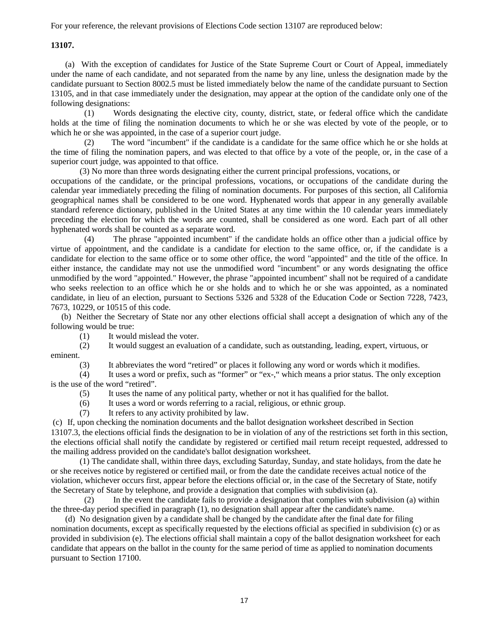For your reference, the relevant provisions of Elections Code section 13107 are reproduced below:

#### **13107.**

(a) With the exception of candidates for Justice of the State Supreme Court or Court of Appeal, immediately under the name of each candidate, and not separated from the name by any line, unless the designation made by the candidate pursuant to Section 8002.5 must be listed immediately below the name of the candidate pursuant to Section 13105, and in that case immediately under the designation, may appear at the option of the candidate only one of the following designations:

(1) Words designating the elective city, county, district, state, or federal office which the candidate holds at the time of filing the nomination documents to which he or she was elected by vote of the people, or to which he or she was appointed, in the case of a superior court judge.

(2) The word "incumbent" if the candidate is a candidate for the same office which he or she holds at the time of filing the nomination papers, and was elected to that office by a vote of the people, or, in the case of a superior court judge, was appointed to that office.

(3) No more than three words designating either the current principal professions, vocations, or

occupations of the candidate, or the principal professions, vocations, or occupations of the candidate during the calendar year immediately preceding the filing of nomination documents. For purposes of this section, all California geographical names shall be considered to be one word. Hyphenated words that appear in any generally available standard reference dictionary, published in the United States at any time within the 10 calendar years immediately preceding the election for which the words are counted, shall be considered as one word. Each part of all other hyphenated words shall be counted as a separate word.

(4) The phrase "appointed incumbent" if the candidate holds an office other than a judicial office by virtue of appointment, and the candidate is a candidate for election to the same office, or, if the candidate is a candidate for election to the same office or to some other office, the word "appointed" and the title of the office. In either instance, the candidate may not use the unmodified word "incumbent" or any words designating the office unmodified by the word "appointed." However, the phrase "appointed incumbent" shall not be required of a candidate who seeks reelection to an office which he or she holds and to which he or she was appointed, as a nominated candidate, in lieu of an election, pursuant to Sections 5326 and 5328 of the Education Code or Section 7228, 7423, 7673, 10229, or 10515 of this code.

 (b) Neither the Secretary of State nor any other elections official shall accept a designation of which any of the following would be true:

(1) It would mislead the voter.

(2) It would suggest an evaluation of a candidate, such as outstanding, leading, expert, virtuous, or eminent.

(3) It abbreviates the word "retired" or places it following any word or words which it modifies.

(4) It uses a word or prefix, such as "former" or "ex-," which means a prior status. The only exception is the use of the word "retired".

(5) It uses the name of any political party, whether or not it has qualified for the ballot.

(6) It uses a word or words referring to a racial, religious, or ethnic group.

(7) It refers to any activity prohibited by law.

(c) If, upon checking the nomination documents and the ballot designation worksheet described in Section 13107.3, the elections official finds the designation to be in violation of any of the restrictions set forth in this section, the elections official shall notify the candidate by registered or certified mail return receipt requested, addressed to the mailing address provided on the candidate's ballot designation worksheet.

(1) The candidate shall, within three days, excluding Saturday, Sunday, and state holidays, from the date he or she receives notice by registered or certified mail, or from the date the candidate receives actual notice of the violation, whichever occurs first, appear before the elections official or, in the case of the Secretary of State, notify the Secretary of State by telephone, and provide a designation that complies with subdivision (a).

(2) In the event the candidate fails to provide a designation that complies with subdivision (a) within the three-day period specified in paragraph (1), no designation shall appear after the candidate's name.

(d) No designation given by a candidate shall be changed by the candidate after the final date for filing nomination documents, except as specifically requested by the elections official as specified in subdivision (c) or as provided in subdivision (e). The elections official shall maintain a copy of the ballot designation worksheet for each candidate that appears on the ballot in the county for the same period of time as applied to nomination documents pursuant to Section 17100.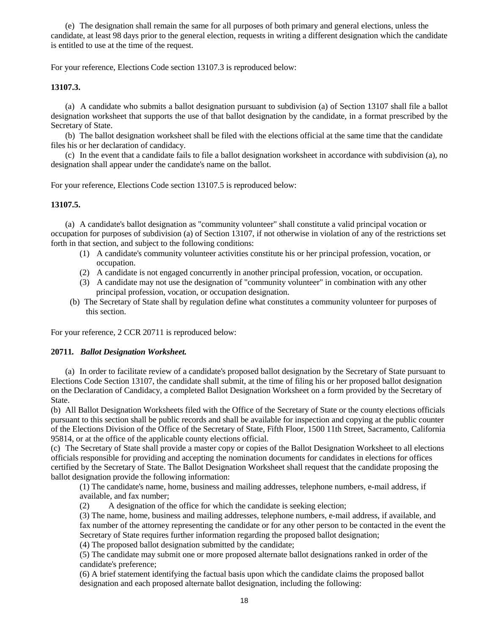(e) The designation shall remain the same for all purposes of both primary and general elections, unless the candidate, at least 98 days prior to the general election, requests in writing a different designation which the candidate is entitled to use at the time of the request.

For your reference, Elections Code section 13107.3 is reproduced below:

#### **13107.3.**

(a) A candidate who submits a ballot designation pursuant to subdivision (a) of Section 13107 shall file a ballot designation worksheet that supports the use of that ballot designation by the candidate, in a format prescribed by the Secretary of State.

(b) The ballot designation worksheet shall be filed with the elections official at the same time that the candidate files his or her declaration of candidacy.

(c) In the event that a candidate fails to file a ballot designation worksheet in accordance with subdivision (a), no designation shall appear under the candidate's name on the ballot.

For your reference, Elections Code section 13107.5 is reproduced below:

#### **13107.5.**

(a) A candidate's ballot designation as "community volunteer" shall constitute a valid principal vocation or occupation for purposes of subdivision (a) of Section 13107, if not otherwise in violation of any of the restrictions set forth in that section, and subject to the following conditions:

- (1) A candidate's community volunteer activities constitute his or her principal profession, vocation, or occupation.
- (2) A candidate is not engaged concurrently in another principal profession, vocation, or occupation.
- (3) A candidate may not use the designation of "community volunteer" in combination with any other principal profession, vocation, or occupation designation.
- (b) The Secretary of State shall by regulation define what constitutes a community volunteer for purposes of this section.

For your reference, 2 CCR 20711 is reproduced below:

#### **20711***. Ballot Designation Worksheet.*

(a) In order to facilitate review of a candidate's proposed ballot designation by the Secretary of State pursuant to Elections Code Section 13107, the candidate shall submit, at the time of filing his or her proposed ballot designation on the Declaration of Candidacy, a completed Ballot Designation Worksheet on a form provided by the Secretary of State.

(b) All Ballot Designation Worksheets filed with the Office of the Secretary of State or the county elections officials pursuant to this section shall be public records and shall be available for inspection and copying at the public counter of the Elections Division of the Office of the Secretary of State, Fifth Floor, 1500 11th Street, Sacramento, California 95814, or at the office of the applicable county elections official.

(c) The Secretary of State shall provide a master copy or copies of the Ballot Designation Worksheet to all elections officials responsible for providing and accepting the nomination documents for candidates in elections for offices certified by the Secretary of State. The Ballot Designation Worksheet shall request that the candidate proposing the ballot designation provide the following information:

(1) The candidate's name, home, business and mailing addresses, telephone numbers, e-mail address, if available, and fax number;

(2) A designation of the office for which the candidate is seeking election;

(3) The name, home, business and mailing addresses, telephone numbers, e-mail address, if available, and fax number of the attorney representing the candidate or for any other person to be contacted in the event the Secretary of State requires further information regarding the proposed ballot designation;

(4) The proposed ballot designation submitted by the candidate;

(5) The candidate may submit one or more proposed alternate ballot designations ranked in order of the candidate's preference;

(6) A brief statement identifying the factual basis upon which the candidate claims the proposed ballot designation and each proposed alternate ballot designation, including the following: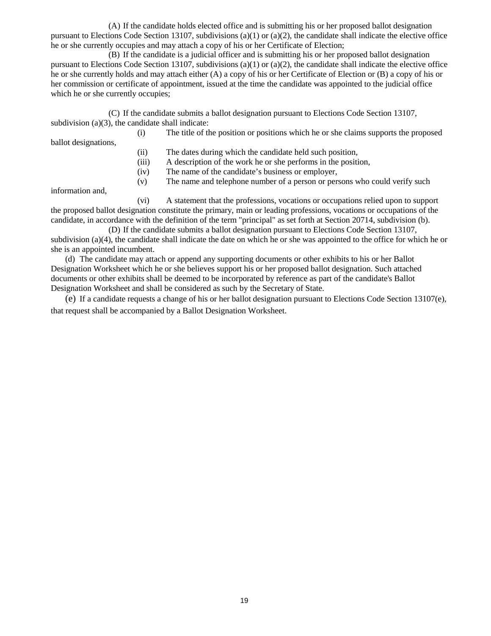(A) If the candidate holds elected office and is submitting his or her proposed ballot designation pursuant to Elections Code Section 13107, subdivisions (a)(1) or (a)(2), the candidate shall indicate the elective office he or she currently occupies and may attach a copy of his or her Certificate of Election;

(B) If the candidate is a judicial officer and is submitting his or her proposed ballot designation pursuant to Elections Code Section 13107, subdivisions (a)(1) or (a)(2), the candidate shall indicate the elective office he or she currently holds and may attach either (A) a copy of his or her Certificate of Election or (B) a copy of his or her commission or certificate of appointment, issued at the time the candidate was appointed to the judicial office which he or she currently occupies;

(C) If the candidate submits a ballot designation pursuant to Elections Code Section 13107, subdivision  $(a)(3)$ , the candidate shall indicate:

(i) The title of the position or positions which he or she claims supports the proposed

ballot designations, (ii) The dates during which the candidate held such position,

(iii) A description of the work he or she performs in the position,

(iv) The name of the candidate's business or employer,

(v) The name and telephone number of a person or persons who could verify such

information and,

(vi) A statement that the professions, vocations or occupations relied upon to support the proposed ballot designation constitute the primary, main or leading professions, vocations or occupations of the candidate, in accordance with the definition of the term "principal" as set forth at Section 20714, subdivision (b).

(D) If the candidate submits a ballot designation pursuant to Elections Code Section 13107, subdivision (a)(4), the candidate shall indicate the date on which he or she was appointed to the office for which he or she is an appointed incumbent.

(d) The candidate may attach or append any supporting documents or other exhibits to his or her Ballot Designation Worksheet which he or she believes support his or her proposed ballot designation. Such attached documents or other exhibits shall be deemed to be incorporated by reference as part of the candidate's Ballot Designation Worksheet and shall be considered as such by the Secretary of State.

(e) If a candidate requests a change of his or her ballot designation pursuant to Elections Code Section 13107(e), that request shall be accompanied by a Ballot Designation Worksheet.

19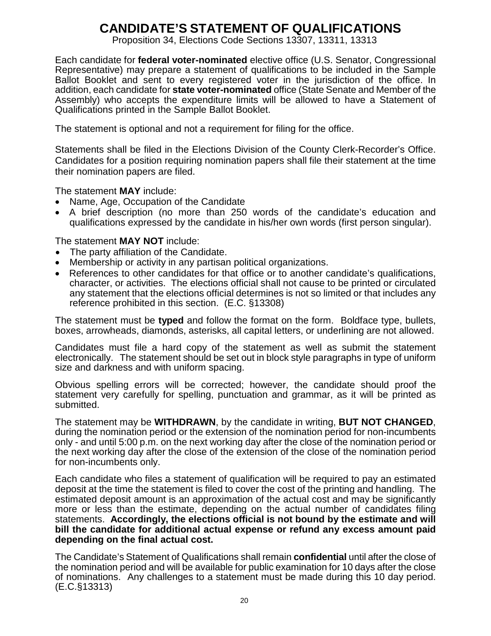## **CANDIDATE'S STATEMENT OF QUALIFICATIONS**

Proposition 34, Elections Code Sections 13307, 13311, 13313

Each candidate for **federal voter-nominated** elective office (U.S. Senator, Congressional Representative) may prepare a statement of qualifications to be included in the Sample Ballot Booklet and sent to every registered voter in the jurisdiction of the office. In addition, each candidate for **state voter-nominated** office (State Senate and Member of the Assembly) who accepts the expenditure limits will be allowed to have a Statement of Qualifications printed in the Sample Ballot Booklet.

The statement is optional and not a requirement for filing for the office.

Statements shall be filed in the Elections Division of the County Clerk-Recorder's Office. Candidates for a position requiring nomination papers shall file their statement at the time their nomination papers are filed.

The statement **MAY** include:

- Name, Age, Occupation of the Candidate
- A brief description (no more than 250 words of the candidate's education and qualifications expressed by the candidate in his/her own words (first person singular).

The statement **MAY NOT** include:

- The party affiliation of the Candidate.
- Membership or activity in any partisan political organizations.
- References to other candidates for that office or to another candidate's qualifications, character, or activities. The elections official shall not cause to be printed or circulated any statement that the elections official determines is not so limited or that includes any reference prohibited in this section. (E.C. §13308)

The statement must be **typed** and follow the format on the form. Boldface type, bullets, boxes, arrowheads, diamonds, asterisks, all capital letters, or underlining are not allowed.

Candidates must file a hard copy of the statement as well as submit the statement electronically. The statement should be set out in block style paragraphs in type of uniform size and darkness and with uniform spacing.

Obvious spelling errors will be corrected; however, the candidate should proof the statement very carefully for spelling, punctuation and grammar, as it will be printed as submitted.

The statement may be **WITHDRAWN**, by the candidate in writing, **BUT NOT CHANGED**, during the nomination period or the extension of the nomination period for non-incumbents only - and until 5:00 p.m. on the next working day after the close of the nomination period or the next working day after the close of the extension of the close of the nomination period for non-incumbents only.

Each candidate who files a statement of qualification will be required to pay an estimated deposit at the time the statement is filed to cover the cost of the printing and handling. The estimated deposit amount is an approximation of the actual cost and may be significantly more or less than the estimate, depending on the actual number of candidates filing statements. **Accordingly, the elections official is not bound by the estimate and will bill the candidate for additional actual expense or refund any excess amount paid depending on the final actual cost.**

The Candidate's Statement of Qualifications shall remain **confidential** until after the close of the nomination period and will be available for public examination for 10 days after the close of nominations. Any challenges to a statement must be made during this 10 day period. (E.C.§13313)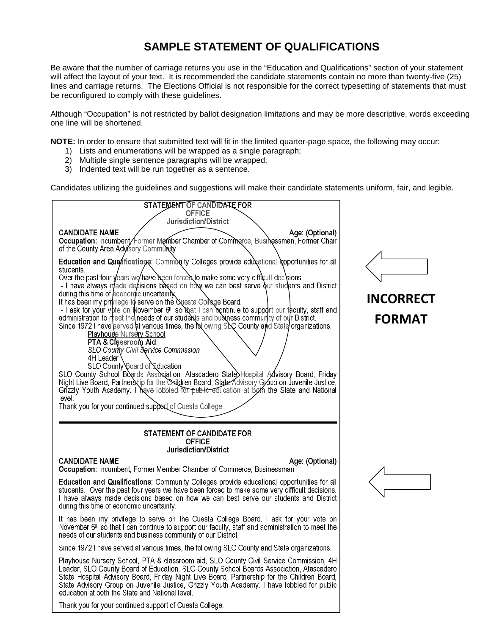## **SAMPLE STATEMENT OF QUALIFICATIONS**

Be aware that the number of carriage returns you use in the "Education and Qualifications" section of your statement will affect the layout of your text. It is recommended the candidate statements contain no more than twenty-five (25) lines and carriage returns. The Elections Official is not responsible for the correct typesetting of statements that must be reconfigured to comply with these guidelines.

Although "Occupation" is not restricted by ballot designation limitations and may be more descriptive, words exceeding one line will be shortened.

**NOTE:** In order to ensure that submitted text will fit in the limited quarter-page space, the following may occur:

- 1) Lists and enumerations will be wrapped as a single paragraph;
- 2) Multiple single sentence paragraphs will be wrapped;
- 3) Indented text will be run together as a sentence.

Candidates utilizing the guidelines and suggestions will make their candidate statements uniform, fair, and legible.

| STATEMENT OF CANDIDATE FOR                                                                                                                                                                                                                                                                                                                                                                                                                                                                                                                                                                                                                                                                                                                                                                                                                                                                                                                                                                                                                                                                                                                                                                                                     |  |  |
|--------------------------------------------------------------------------------------------------------------------------------------------------------------------------------------------------------------------------------------------------------------------------------------------------------------------------------------------------------------------------------------------------------------------------------------------------------------------------------------------------------------------------------------------------------------------------------------------------------------------------------------------------------------------------------------------------------------------------------------------------------------------------------------------------------------------------------------------------------------------------------------------------------------------------------------------------------------------------------------------------------------------------------------------------------------------------------------------------------------------------------------------------------------------------------------------------------------------------------|--|--|
| <b>OFFICE</b><br>Jurisdiction/District                                                                                                                                                                                                                                                                                                                                                                                                                                                                                                                                                                                                                                                                                                                                                                                                                                                                                                                                                                                                                                                                                                                                                                                         |  |  |
| <b>CANDIDATE NAME</b><br>Age: (Optional)<br>Occupation: Incumbent/Former Member Chamber of Commerce, Businessman, Former Chair<br>of the County Area Advisory Community                                                                                                                                                                                                                                                                                                                                                                                                                                                                                                                                                                                                                                                                                                                                                                                                                                                                                                                                                                                                                                                        |  |  |
| Education and Qualifications: Community Colleges provide educational opportunities for all<br>students.<br>Over the past four years we have been forced to make some very difficult decipions.<br>- I have always made decisions based on how we can best serve our students and District<br>during this time of economic uncertainty.<br>It has been my privilege to serve on the Questa College Board.<br>- I ask for your vote on November 6 <sup>th</sup> so Nat I can continue to support our faculty, staff and<br>administration to meet the needs of our students and business community of our District.<br>Since 1972 I have served at various times, the relowing SDO County and State organizations.<br><b>Playhouse Nursery School</b><br>PTA & Classroom Aid<br>SLO County Civil Service Commission<br>4H Leader<br>SLO County Board of Education<br>SLO County School Boards Association, Atascadero State Hospital Advisory Board, Friday<br>Night Live Board, Partnership for the Children Board, State Advisory Group on Juvenile Justice,<br>Grizzly Youth Academy. I have lobbied for public education at both the State and National<br>level.<br>Thank you for your continued support of Cuesta College. |  |  |
| STATEMENT OF CANDIDATE FOR<br><b>OFFICE</b><br>Jurisdiction/District                                                                                                                                                                                                                                                                                                                                                                                                                                                                                                                                                                                                                                                                                                                                                                                                                                                                                                                                                                                                                                                                                                                                                           |  |  |
| <b>CANDIDATE NAME</b><br>Age: (Optional)                                                                                                                                                                                                                                                                                                                                                                                                                                                                                                                                                                                                                                                                                                                                                                                                                                                                                                                                                                                                                                                                                                                                                                                       |  |  |
| Occupation: Incumbent, Former Member Chamber of Commerce, Businessman                                                                                                                                                                                                                                                                                                                                                                                                                                                                                                                                                                                                                                                                                                                                                                                                                                                                                                                                                                                                                                                                                                                                                          |  |  |
| Education and Qualifications: Community Colleges provide educational opportunities for all<br>students. Over the past four years we have been forced to make some very difficult decisions.<br>I have always made decisions based on how we can best serve our students and District<br>during this time of economic uncertainty.                                                                                                                                                                                                                                                                                                                                                                                                                                                                                                                                                                                                                                                                                                                                                                                                                                                                                              |  |  |
| It has been my privilege to serve on the Cuesta College Board. I ask for your vote on<br>November $6th$ so that I can continue to support our faculty, staff and administration to meet the<br>needs of our students and business community of our District.                                                                                                                                                                                                                                                                                                                                                                                                                                                                                                                                                                                                                                                                                                                                                                                                                                                                                                                                                                   |  |  |
| Since 1972 I have served at various times, the following SLO County and State organizations.                                                                                                                                                                                                                                                                                                                                                                                                                                                                                                                                                                                                                                                                                                                                                                                                                                                                                                                                                                                                                                                                                                                                   |  |  |
| Playhouse Nursery School, PTA & classroom aid, SLO County Civil Service Commission, 4H<br>Leader, SLO County Board of Education, SLO County School Boards Association, Atascadero<br>State Hospital Advisory Board, Friday Night Live Board, Partnership for the Children Board,<br>State Advisory Group on Juvenile Justice, Grizzly Youth Academy. I have lobbied for public<br>education at both the State and National level.                                                                                                                                                                                                                                                                                                                                                                                                                                                                                                                                                                                                                                                                                                                                                                                              |  |  |



# **INCORRECT FORMAT**